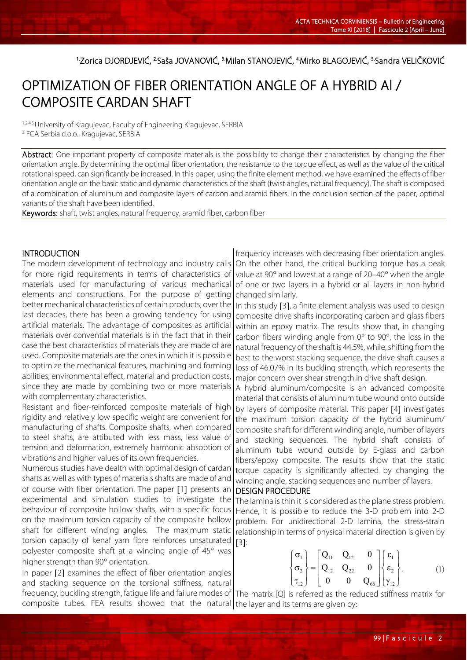1Zorica DJORDJEVIĆ, <sup>2.</sup>Saša JOVANOVIĆ, <sup>3.</sup>Milan STANOJEVIĆ, <sup>4.</sup>Mirko BLAGOJEVIĆ, <sup>5.</sup>Sandra VELIČKOVIĆ

# OPTIMIZATION OF FIBER ORIENTATION ANGLE OF A HYBRID Al / COMPOSITE CARDAN SHAFT

1,2,4,5. University of Kragujevac, Faculty of Engineering Kragujevac, SERBIA 3. FCA Serbia d.o.o., Kragujevac, SERBIA

Abstract: One important property of composite materials is the possibility to change their characteristics by changing the fiber orientation angle. By determining the optimal fiber orientation, the resistance to the torque effect, as well as the value of the critical rotational speed, can significantly be increased. In this paper, using the finite element method, we have examined the effects of fiber orientation angle on the basic static and dynamic characteristics of the shaft (twist angles, natural frequency). The shaft is composed of a combination of aluminum and composite layers of carbon and aramid fibers. In the conclusion section of the paper, optimal variants of the shaft have been identified.

Keywords: shaft, twist angles, natural frequency, aramid fiber, carbon fiber

### **INTRODUCTION**

The modern development of technology and industry calls for more rigid requirements in terms of characteristics of materials used for manufacturing of various mechanical elements and constructions. For the purpose of getting better mechanical characteristics of certain products, over the last decades, there has been a growing tendency for using artificial materials. The advantage of composites as artificial materials over convential materials is in the fact that in their case the best characteristics of materials they are made of are used. Composite materials are the ones in which it is possible to optimize the mechanical features, machining and forming abilities, environmental effect, material and production costs, since they are made by combining two or more materials with complementary characteristics.

Resistant and fiber-reinforced composite materials of high rigidity and relatively low specific weight are convenient for manufacturing of shafts. Composite shafts, when compared to steel shafts, are attibuted with less mass, less value of tension and deformation, extremely harmonic absoption of vibrations and higher values of its own frequencies.

Numerous studies have dealth with optimal design of cardan shafts as well as with types of materials shafts are made of and of course with fiber orientation. The paper [1] presents an experimental and simulation studies to investigate the behaviour of composite hollow shafts, with a specific focus on the maximum torsion capacity of the composite hollow shaft for different winding angles. The maximum static torsion capacity of kenaf yarn fibre reinforces unsaturated polyester composite shaft at a winding angle of 45° was higher strength than 90° orientation.

In paper [2] examines the effect of fiber orientation angles and stacking sequence on the torsional stiffness, natural frequency, buckling strength, fatigue life and failure modes of The matrix [Q] is referred as the reduced stiffness matrix for composite tubes. FEA results showed that the natural the layer and its terms are given by:

frequency increases with decreasing fiber orientation angles. On the other hand, the critical buckling torque has a peak value at 90° and lowest at a range of 20–40° when the angle of one or two layers in a hybrid or all layers in non-hybrid changed similarly.

In this study [3], a finite element analysis was used to design composite drive shafts incorporating carbon and glass fibers within an epoxy matrix. The results show that, in changing carbon fibers winding angle from 0° to 90°, the loss in the natural frequency of the shaft is 44.5%, while, shifting from the best to the worst stacking sequence, the drive shaft causes a loss of 46.07% in its buckling strength, which represents the major concern over shear strength in drive shaft design.

A hybrid aluminum/composite is an advanced composite material that consists of aluminum tube wound onto outside by layers of composite material. This paper [4] investigates the maximum torsion capacity of the hybrid aluminum/ composite shaft for different winding angle, number of layers and stacking sequences. The hybrid shaft consists of aluminum tube wound outside by E-glass and carbon fibers/epoxy composite. The results show that the static torque capacity is significantly affected by changing the winding angle, stacking sequences and number of layers.

### DESIGN PROCEDURE

The lamina is thin it is considered as the plane stress problem. Hence, it is possible to reduce the 3-D problem into 2-D problem. For unidirectional 2-D lamina, the stress-strain relationship in terms of physical material direction is given by [3]:

$$
\begin{Bmatrix} \sigma_1 \\ \sigma_2 \\ \tau_{12} \end{Bmatrix} = \begin{bmatrix} Q_{11} & Q_{12} & 0 \\ Q_{12} & Q_{22} & 0 \\ 0 & 0 & Q_{66} \end{bmatrix} \begin{Bmatrix} \varepsilon_1 \\ \varepsilon_2 \\ \gamma_{12} \end{Bmatrix}.
$$
 (1)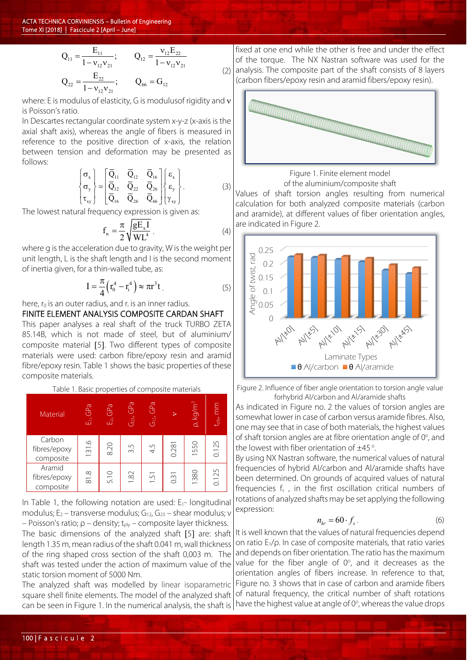A CTA TECHNICA CORVINIENSIS – Bulletin of Engineering Tome XI [2018] | Fascicule 2 [April – June]

$$
Q_{11} = \frac{E_{11}}{1 - v_{12}v_{21}}; \t Q_{12} = \frac{v_{12}E_{22}}{1 - v_{12}v_{21}}
$$
  

$$
Q_{22} = \frac{E_{22}}{1 - v_{12}v_{21}}; \t Q_{66} = G_{12}
$$

(2)

where: E is modulus of elasticity, G is modulus of rigidity and ν is Poisson's ratio.

In Descartes rectangular coordinate system x-y-z (x-axis is the axial shaft axis), whereas the angle of fibers is measured in reference to the positive direction of x-axis, the relation between tension and deformation may be presented as follows:

$$
\begin{Bmatrix}\n\sigma_x \\
\sigma_y \\
\tau_{xy}\n\end{Bmatrix} = \begin{bmatrix}\n\overline{Q}_{11} & \overline{Q}_{12} & \overline{Q}_{16} \\
\overline{Q}_{12} & \overline{Q}_{22} & \overline{Q}_{26} \\
\overline{Q}_{16} & \overline{Q}_{26} & \overline{Q}_{66}\n\end{bmatrix} \begin{Bmatrix}\n\varepsilon_x \\
\varepsilon_y \\
\gamma_{xy}\n\end{Bmatrix}.
$$
\n(3)

The lowest natural frequency expression is given as:

$$
f_n = \frac{\pi}{2} \sqrt{\frac{gE_x I}{WL^4}} \ . \tag{4}
$$

where g is the acceleration due to gravity, W is the weight per unit length, L is the shaft length and I is the second moment of inertia given, for a thin-walled tube, as:

$$
I = \frac{\pi}{4} \left( r_0^4 - r_i^4 \right) \approx \pi r^3 t \tag{5}
$$

here,  $r_0$  is an outer radius, and  $r_i$  is an inner radius.

FINITE ELEMENT ANALYSIS COMPOSITE CARDAN SHAFT This paper analyses a real shaft of the truck TURBO ZETA 85.14B, which is not made of steel, but of aluminium/ composite material [5]. Two different types of composite materials were used: carbon fibre/epoxy resin and aramid fibre/epoxy resin. Table 1 shows the basic properties of these composite materials.

Table 1. Basic properties of composite materials

| Material                            | $E_1$ , GPa | GPa<br>$\vec{E}$ | GP <sub>a</sub><br>G2 | GPa<br>$G_{12}$ |       | $\rho$ , kg/m $^3$ | $t_{\text{phys}}$ mm |
|-------------------------------------|-------------|------------------|-----------------------|-----------------|-------|--------------------|----------------------|
| Carbon<br>fibres/epoxy<br>composite | 131.6       | 8.20             | 3.5                   | 4.5             | 0.281 | 1550               | 0.125                |
| Aramid<br>fibres/epoxy<br>composite | $81.8$      | 5.10             | 1.82                  | 1.51            | 0.31  | 1380               | 0.125                |

In Table 1, the following notation are used:  $E_1$ - longitudinal modulus;  $E_2$  – transverse modulus;  $G_{12}$ ,  $G_{23}$  – shear modulus; ν – Poisson's ratio;  $ρ$  – density;  $t_{ply}$  – composite layer thickness.

The basic dimensions of the analyzed shaft [5] are: shaft length 1.35 m, mean radius of the shaft 0.041 m, wall thickness of the ring shaped cross section of the shaft 0,003 m. The shaft was tested under the action of maximum value of the static torsion moment of 5000 Nm.

The analyzed shaft was modelled by linear isoparametric square shell finite elements. The model of the analyzed shaft can be seen in Figure 1. In the numerical analysis, the shaft is  $\vert$  have the highest value at angle of 0°, whereas the value drops

fixed at one end while the other is free and under the effect of the torque. The NX Nastran software was used for the analysis. The composite part of the shaft consists of 8 layers (carbon fibers/epoxy resin and aramid fibers/epoxy resin).



Figure 1. Finite element model

of the aluminium/composite shaft Values of shaft torsion angles resulting from numerical calculation for both analyzed composite materials (carbon and aramide), at different values of fiber orientation angles, are indicated in Figure 2.



Figure 2. Influence of fiber angle orientation to torsion angle value forhybrid Al/carbon and Al/aramide shafts

As indicated in Figure no. 2 the values of torsion angles are somewhat lower in case of carbon versus aramide fibres. Also, one may see that in case of both materials, the highest values of shaft torsion angles are at fibre orientation angle of  $0^\circ$ , and the lowest with fiber orientation of  $\pm 45^{\circ}$ . .

By using NX Nastran software, the numerical values of natural frequencies of hybrid Al/carbon and Al/aramide shafts have been determined. On grounds of acquired values of natural frequencies  $f_s$ , in the first oscillation critical numbers of rotations of analyzed shafts may be set applying the following expression:

$$
n_{kr} = 60 \cdot f_s \,. \tag{6}
$$

It is well known that the values of natural frequencies depend on ratio E1/ρ. In case of composite materials, that ratio varies and depends on fiber orientation. The ratio has the maximum value for the fiber angle of  $0^\circ$ , and it decreases as the orientation angles of fibers increase. In reference to that, Figure no. 3 shows that in case of carbon and aramide fibers of natural frequency, the critical number of shaft rotations